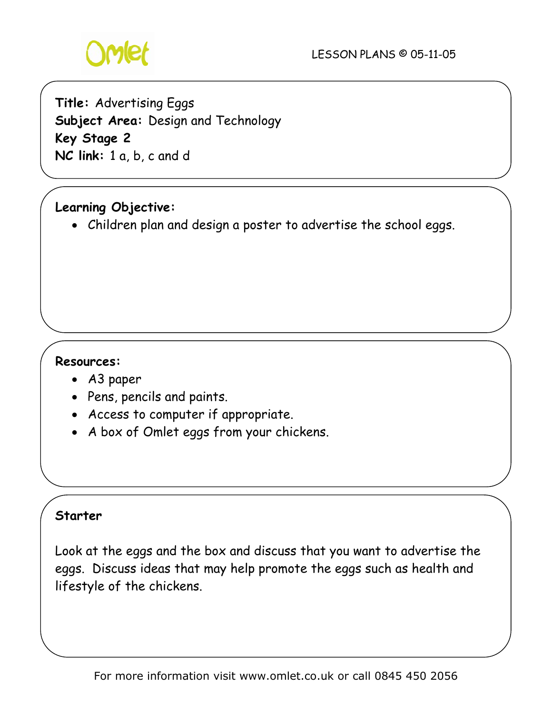

**Title:** Advertising Eggs **Subject Area:** Design and Technology **Key Stage 2 NC link:** 1 a, b, c and d

# **Learning Objective:**

• Children plan and design a poster to advertise the school eggs.

#### **Resources:**

- A3 paper
- Pens, pencils and paints.
- Access to computer if appropriate.
- A box of Omlet eggs from your chickens.

#### **Starter**

Look at the eggs and the box and discuss that you want to advertise the eggs. Discuss ideas that may help promote the eggs such as health and lifestyle of the chickens.